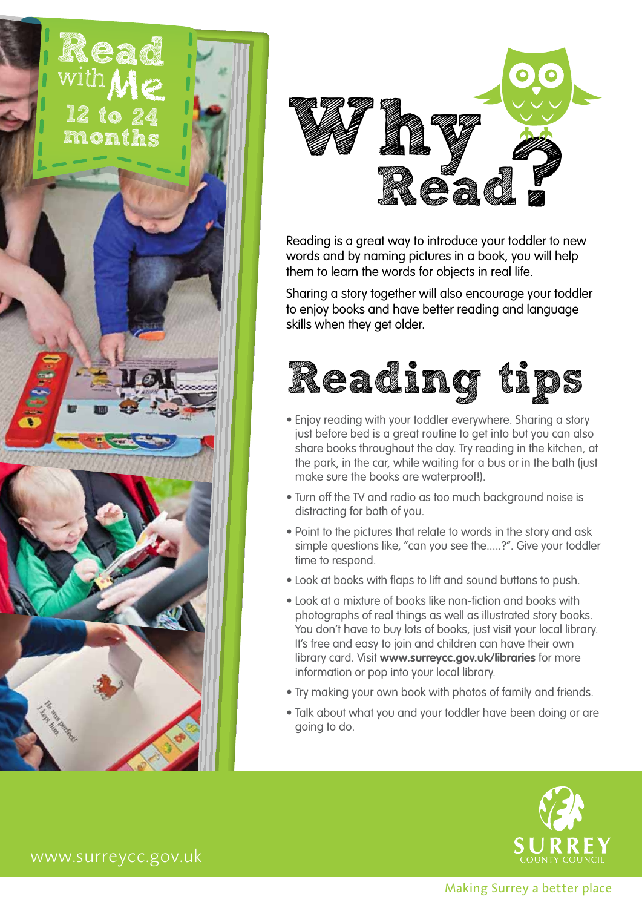



Reading is a great way to introduce your toddler to new words and by naming pictures in a book, you will help them to learn the words for objects in real life.

Sharing a story together will also encourage your toddler to enjoy books and have better reading and language skills when they get older.



- Enjoy reading with your toddler everywhere. Sharing a story just before bed is a great routine to get into but you can also share books throughout the day. Try reading in the kitchen, at the park, in the car, while waiting for a bus or in the bath (just make sure the books are waterproof!).
- Turn off the TV and radio as too much background noise is distracting for both of you.
- Point to the pictures that relate to words in the story and ask simple questions like, "can you see the.....?". Give your toddler time to respond.
- Look at books with flaps to lift and sound buttons to push.
- Look at a mixture of books like non-fiction and books with photographs of real things as well as illustrated story books. You don't have to buy lots of books, just visit your local library. It's free and easy to join and children can have their own library card. Visit **www.surreycc.gov.uk/libraries** for more information or pop into your local library.
- Try making your own book with photos of family and friends.
- Talk about what you and your toddler have been doing or are going to do.



www.surreycc.gov.uk